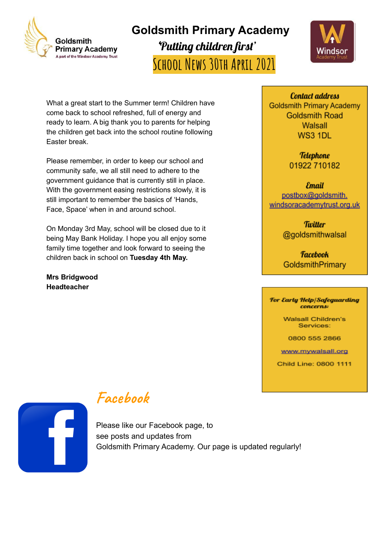

**Goldsmith Primary Academy** 'Putting children first' **School News 30th April 2021**



What a great start to the Summer term! Children have come back to school refreshed, full of energy and ready to learn. A big thank you to parents for helping the children get back into the school routine following Easter break.

Please remember, in order to keep our school and community safe, we all still need to adhere to the government guidance that is currently still in place. With the government easing restrictions slowly, it is still important to remember the basics of 'Hands, Face, Space' when in and around school.

On Monday 3rd May, school will be closed due to it being May Bank Holiday. I hope you all enjoy some family time together and look forward to seeing the children back in school on **Tuesday 4th May.**

**Mrs Bridgwood Headteacher**

**Contact address Goldsmith Primary Academy Goldsmith Road** Walsall WS3 1DL

> **Telephone** 01922 710182

**Email** postbox@goldsmith. windsoracademytrust.org.uk

> **Tivitter** @goldsmithwalsal

**Facebook** GoldsmithPrimary

For Early Help/Safeguarding concerns:

> **Walsall Children's** Services:

0800 555 2866

www.mywalsall.org

Child Line: 0800 1111



#### **Facebook**

Please like our Facebook page, to see posts and updates from Goldsmith Primary Academy. Our page is updated regularly!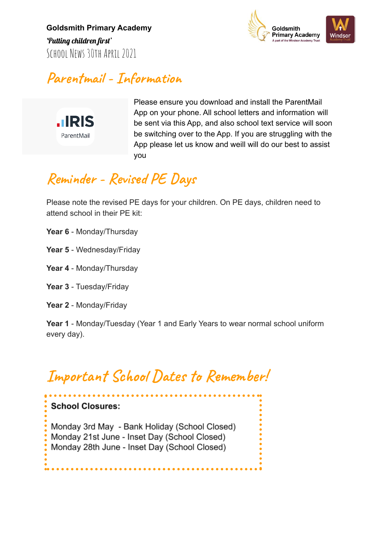**Goldsmith Primary Academy** 'Putting children first' SCHOOL NEWS 30TH APRTL 2021



#### **Parentmail - Information**



Please ensure you download and install the ParentMail App on your phone. All school letters and information will be sent via this App, and also school text service will soon be switching over to the App. If you are struggling with the App please let us know and weill will do our best to assist you

#### **Reminder - Revised PE Days**

Please note the revised PE days for your children. On PE days, children need to attend school in their PE kit:

- **Year 6** Monday/Thursday
- **Year 5** Wednesday/Friday
- **Year 4** Monday/Thursday
- **Year 3** Tuesday/Friday
- **Year 2** Monday/Friday

**School Closures:** 

**Year 1** - Monday/Tuesday (Year 1 and Early Years to wear normal school uniform every day).

### **Important School Dates to Remember!**

Monday 3rd May - Bank Holiday (School Closed) Monday 21st June - Inset Day (School Closed) Monday 28th June - Inset Day (School Closed)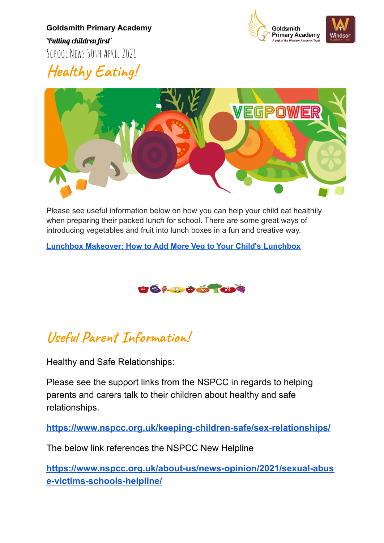**Goldsmith Primary Academy** 'Putting children first' SCHOOL NEWS 30TH APRTL 2021



**Healthy Eating!**



Please see useful information below on how you can help your child eat healthily when preparing their packed lunch for school**.** There are some great ways of introducing vegetables and fruit into lunch boxes in a fun and creative way.

**[Lunchbox Makeover: How to Add More Veg to Your Child's](https://vegpower.org.uk/lunchbox-makeover/) Lunchbox**



#### **Useful Parent Information!**

Healthy and Safe Relationships:

Please see the support links from the NSPCC in regards to helping parents and carers talk to their children about healthy and safe relationships.

**<https://www.nspcc.org.uk/keeping-children-safe/sex-relationships/>**

The below link references the NSPCC New Helpline

**[https://www.nspcc.org.uk/about-us/news-opinion/2021/sexual-abus](https://www.nspcc.org.uk/about-us/news-opinion/2021/sexual-abuse-victims-schools-helpline/) [e-victims-schools-helpline/](https://www.nspcc.org.uk/about-us/news-opinion/2021/sexual-abuse-victims-schools-helpline/)**